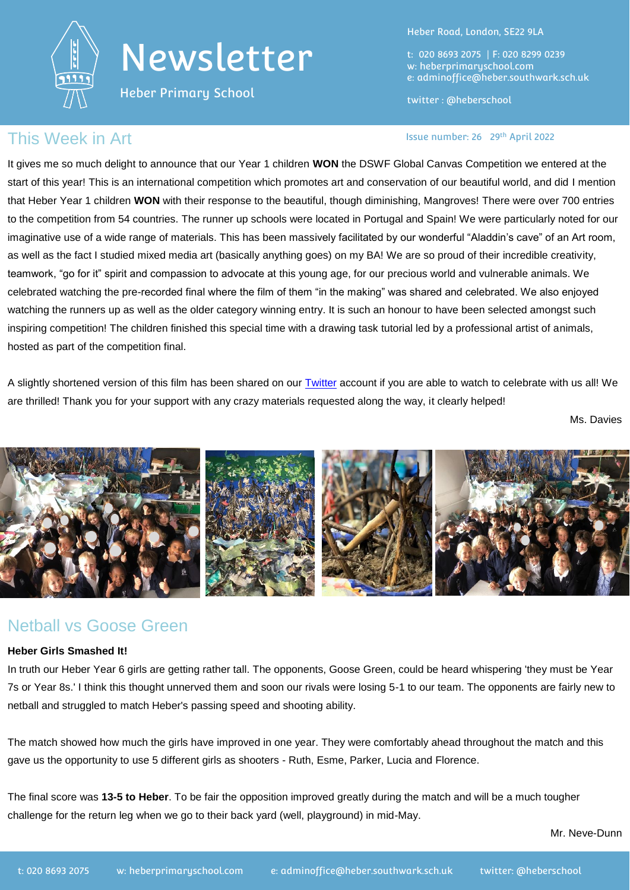

# Newsletter

Heber Primary School

Heber Road, London, SE22 9LA

t: 020 8693 2075 | F: 020 8299 0239 w: heberprimaryschool.com e: [adminoffice@heber.southwark.sch.uk](mailto:adminoffice@heber.southwark.sch.uk)

twitter : @heberschool

#### Issue number: 26 29th April 2022

#### This Week in Art **Interpretent Contract Contract Contract Contract Contract Contract Contract Contract Contract Contract Contract Contract Contract Contract Contract Contract Contract Contract Contract Contract Contract Co**

It gives me so much delight to announce that our Year 1 children **WON** the DSWF Global Canvas Competition we entered at the start of this year! This is an international competition which promotes art and conservation of our beautiful world, and did I mention that Heber Year 1 children **WON** with their response to the beautiful, though diminishing, Mangroves! There were over 700 entries to the competition from 54 countries. The runner up schools were located in Portugal and Spain! We were particularly noted for our imaginative use of a wide range of materials. This has been massively facilitated by our wonderful "Aladdin's cave" of an Art room, as well as the fact I studied mixed media art (basically anything goes) on my BA! We are so proud of their incredible creativity, teamwork, "go for it" spirit and compassion to advocate at this young age, for our precious world and vulnerable animals. We celebrated watching the pre-recorded final where the film of them "in the making" was shared and celebrated. We also enjoyed watching the runners up as well as the older category winning entry. It is such an honour to have been selected amongst such inspiring competition! The children finished this special time with a drawing task tutorial led by a professional artist of animals, hosted as part of the competition final.

A slightly shortened version of this film has been shared on our [Twitter](https://twitter.com/heberschool) account if you are able to watch to celebrate with us all! We are thrilled! Thank you for your support with any crazy materials requested along the way, it clearly helped!

Ms. Davies



#### Netball vs Goose Green

#### **Heber Girls Smashed It!**

In truth our Heber Year 6 girls are getting rather tall. The opponents, Goose Green, could be heard whispering 'they must be Year 7s or Year 8s.' I think this thought unnerved them and soon our rivals were losing 5-1 to our team. The opponents are fairly new to netball and struggled to match Heber's passing speed and shooting ability.

The match showed how much the girls have improved in one year. They were comfortably ahead throughout the match and this gave us the opportunity to use 5 different girls as shooters - Ruth, Esme, Parker, Lucia and Florence.

The final score was **13-5 to Heber**. To be fair the opposition improved greatly during the match and will be a much tougher challenge for the return leg when we go to their back yard (well, playground) in mid-May.

Mr. Neve-Dunn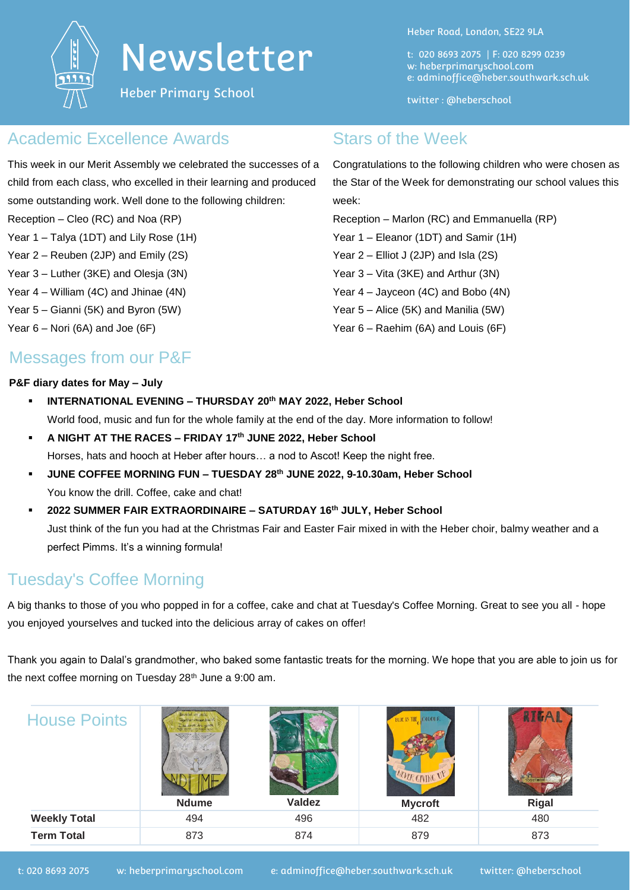

# Newsletter

Heber Primary School

Heber Road, London, SE22 9LA

Congratulations to the following children who were chosen as the Star of the Week for demonstrating our school values this

t: 020 8693 2075 | F: 020 8299 0239 w: heberprimaryschool.com e: [adminoffice@heber.southwark.sch.uk](mailto:adminoffice@heber.southwark.sch.uk)

twitter : @heberschool

Reception – Marlon (RC) and Emmanuella (RP)

Year 1 – Eleanor (1DT) and Samir (1H) Year 2 – Elliot J (2JP) and Isla (2S) Year 3 – Vita (3KE) and Arthur (3N) Year 4 – Jayceon (4C) and Bobo (4N) Year 5 – Alice (5K) and Manilia (5W) Year 6 – Raehim (6A) and Louis (6F)

Stars of the Week

week:

### Academic Excellence Awards

This week in our Merit Assembly we celebrated the successes of a child from each class, who excelled in their learning and produced some outstanding work. Well done to the following children:

- Reception Cleo (RC) and Noa (RP)
- Year 1 Talya (1DT) and Lily Rose (1H)
- Year 2 Reuben (2JP) and Emily (2S)
- Year 3 Luther (3KE) and Olesja (3N)
- Year 4 William (4C) and Jhinae (4N)
- Year 5 Gianni (5K) and Byron (5W)
- Year 6 Nori (6A) and Joe (6F)

## Messages from our P&F

#### **P&F diary dates for May – July**

- **INTERNATIONAL EVENING – THURSDAY 20th MAY 2022, Heber School** World food, music and fun for the whole family at the end of the day. More information to follow!
- **A NIGHT AT THE RACES – FRIDAY 17th JUNE 2022, Heber School** Horses, hats and hooch at Heber after hours… a nod to Ascot! Keep the night free.
- **JUNE COFFEE MORNING FUN – TUESDAY 28th JUNE 2022, 9-10.30am, Heber School** You know the drill. Coffee, cake and chat!
- **2022 SUMMER FAIR EXTRAORDINAIRE – SATURDAY 16th JULY, Heber School** Just think of the fun you had at the Christmas Fair and Easter Fair mixed in with the Heber choir, balmy weather and a perfect Pimms. It's a winning formula!

## Tuesday's Coffee Morning

A big thanks to those of you who popped in for a coffee, cake and chat at Tuesday's Coffee Morning. Great to see you all - hope you enjoyed yourselves and tucked into the delicious array of cakes on offer!

Thank you again to Dalal's grandmother, who baked some fantastic treats for the morning. We hope that you are able to join us for the next coffee morning on Tuesday 28th June a 9:00 am.

| <b>House Points</b> | vided we sall.<br><b>Ndume</b> | <b>Valdez</b> | BUILD THE COLOUR<br>MUTR CIVING UT<br><b>Mycroft</b> | <b>Rigal</b> |
|---------------------|--------------------------------|---------------|------------------------------------------------------|--------------|
| <b>Weekly Total</b> | 494                            | 496           | 482                                                  | 480          |
| <b>Term Total</b>   | 873                            | 874           | 879                                                  | 873          |